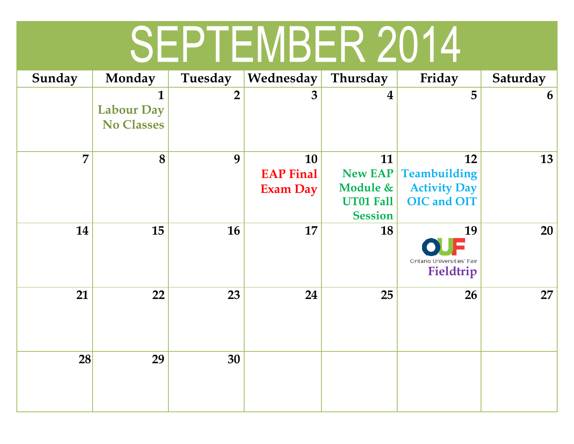## SEPTEMBER 2014

| Sunday | Monday                                 | Tuesday        | Wednesday                                 | Thursday                                                               | Friday                                                                        | Saturday |
|--------|----------------------------------------|----------------|-------------------------------------------|------------------------------------------------------------------------|-------------------------------------------------------------------------------|----------|
|        | <b>Labour Day</b><br><b>No Classes</b> | $\overline{2}$ | 3                                         | $\overline{\mathbf{4}}$                                                | 5                                                                             | 6        |
| 7      | 8                                      | 9              | 10<br><b>EAP Final</b><br><b>Exam Day</b> | 11<br><b>New EAP</b><br>Module &<br><b>UT01 Fall</b><br><b>Session</b> | 12<br><b>Teambuilding</b><br><b>Activity Day</b><br><b>OIC</b> and <b>OIT</b> | 13       |
| 14     | 15                                     | 16             | 17                                        | 18                                                                     | 19<br>Ontario Universities' Fair<br>Fieldtrip                                 | 20       |
| 21     | 22                                     | 23             | 24                                        | 25                                                                     | 26                                                                            | 27       |
| 28     | 29                                     | 30             |                                           |                                                                        |                                                                               |          |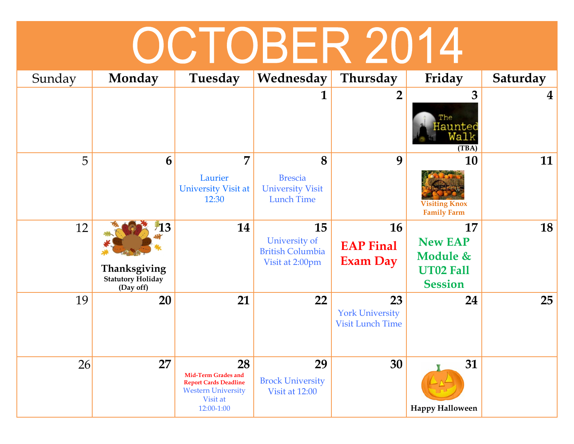## OCTOBER 2014

| Sunday | Monday                                                      | Tuesday                                                                                                          | Wednesday                                                           | Thursday                                                | Friday                                                                 | Saturday       |
|--------|-------------------------------------------------------------|------------------------------------------------------------------------------------------------------------------|---------------------------------------------------------------------|---------------------------------------------------------|------------------------------------------------------------------------|----------------|
|        |                                                             |                                                                                                                  |                                                                     | $\overline{2}$                                          | 3<br>The<br>Haunted<br>al o<br>(TBA)                                   | $\overline{4}$ |
| 5      | 6                                                           | 7<br>Laurier<br>University Visit at<br>12:30                                                                     | 8<br><b>Brescia</b><br><b>University Visit</b><br><b>Lunch Time</b> | 9                                                       | 10<br><b>Visiting Knox</b><br><b>Family Farm</b>                       | 11             |
| 12     | 13<br>Thanksgiving<br><b>Statutory Holiday</b><br>(Day off) | 14                                                                                                               | 15<br>University of<br><b>British Columbia</b><br>Visit at 2:00pm   | 16<br><b>EAP Final</b><br><b>Exam Day</b>               | 17<br><b>New EAP</b><br>Module &<br><b>UT02 Fall</b><br><b>Session</b> | 18             |
| 19     | 20                                                          | 21                                                                                                               | 22                                                                  | 23<br><b>York University</b><br><b>Visit Lunch Time</b> | 24                                                                     | 25             |
| 26     | 27                                                          | 28<br>Mid-Term Grades and<br><b>Report Cards Deadline</b><br><b>Western University</b><br>Visit at<br>12:00-1:00 | 29<br><b>Brock University</b><br>Visit at 12:00                     | 30                                                      | 31<br><b>Happy Halloween</b>                                           |                |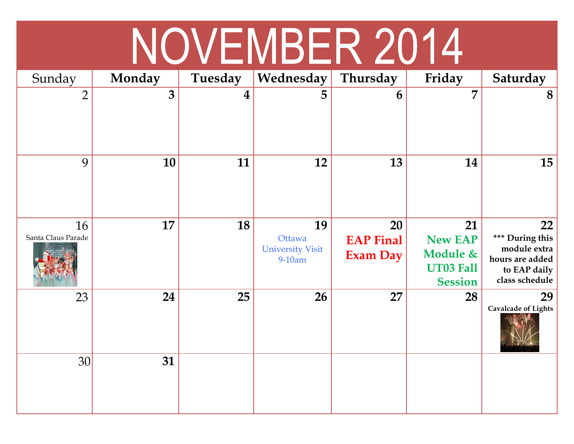## NOVEMBER 2014

| Sunday                   | <b>Monday</b> | Tuesday          | Wednesday                                         | Thursday                           | Friday                                                          | Saturday                                                                                   |
|--------------------------|---------------|------------------|---------------------------------------------------|------------------------------------|-----------------------------------------------------------------|--------------------------------------------------------------------------------------------|
| $\overline{2}$           | 3             | $\boldsymbol{4}$ | 5                                                 | 6                                  | 7                                                               | 8                                                                                          |
| 9                        | 10            | 11               | 12                                                | 13                                 | 14                                                              | 15                                                                                         |
| 16<br>Santa Claus Parade | 17            | 18               | 19<br>Ottawa<br><b>University Visit</b><br>9-10am | 20<br><b>EAP Final</b><br>Exam Day | 21<br><b>New EAP</b><br>Module &<br>UT03 Fall<br><b>Session</b> | 22<br>*** During this<br>module extra<br>hours are added<br>to EAP daily<br>class schedule |
| 23                       | 24            | 25               | 26                                                | 27                                 | 28                                                              | 29<br><b>Cavalcade of Lights</b>                                                           |
| 30 <sup>°</sup>          | 31            |                  |                                                   |                                    |                                                                 |                                                                                            |